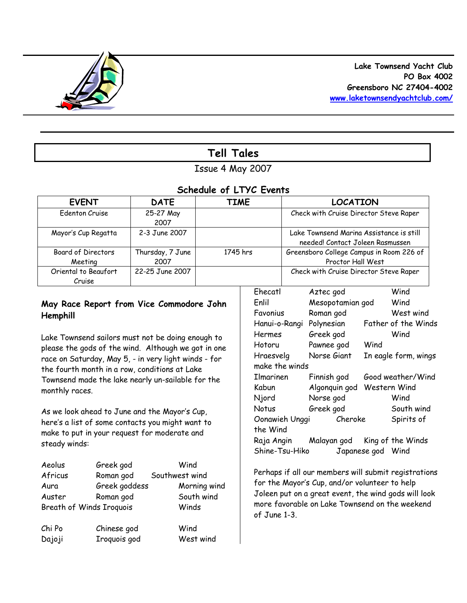

# **Tell Tales**

## Issue 4 May 2007

## *Schedule of LTYC Events*

| <b>EVENT</b>         | <b>DATE</b>      | <b>TIME</b> | <b>LOCATION</b>                          |
|----------------------|------------------|-------------|------------------------------------------|
| Edenton Cruise       | 25-27 May        |             | Check with Cruise Director Steve Raper   |
|                      | 2007             |             |                                          |
| Mayor's Cup Regatta  | 2-3 June 2007    |             | Lake Townsend Marina Assistance is still |
|                      |                  |             | needed! Contact Joleen Rasmussen         |
| Board of Directors   | Thursday, 7 June | 1745 hrs    | Greensboro College Campus in Room 226 of |
| Meeting              | 2007             |             | Proctor Hall West                        |
| Oriental to Beaufort | 22-25 June 2007  |             | Check with Cruise Director Steve Raper   |
| Cruise               |                  |             |                                          |

## **May Race Report from Vice Commodore John Hemphill**

Lake Townsend sailors must not be doing enough to please the gods of the wind. Although we got in one race on Saturday, May 5, - in very light winds - for the fourth month in a row, conditions at Lake Townsend made the lake nearly un-sailable for the monthly races.

As we look ahead to June and the Mayor's Cup, here's a list of some contacts you might want to make to put in your request for moderate and steady winds:

| Aeolus  | Greek god                | Wind           |  |  |  |
|---------|--------------------------|----------------|--|--|--|
| Africus | Roman god                | Southwest wind |  |  |  |
| Aura    | Greek goddess            | Morning wind   |  |  |  |
| Auster  | Roman god                | South wind     |  |  |  |
|         | Breath of Winds Iroquois | Winds          |  |  |  |
| Chi Po  | Chinese god              | Wind           |  |  |  |
| Dajoji  | Iroquois god             | West wind      |  |  |  |

| Ehecatl        | Aztec god        | Wind                 |
|----------------|------------------|----------------------|
| Enlil          | Mesopotamian god | Wind                 |
| Favonius       | Roman god        | West wind            |
| Hanui-o-Rangi  | Polynesian       | Father of the Winds  |
| Hermes         | Greek god        | Wind                 |
| Hotoru         | Pawnee god       | Wind                 |
| Hraesvelg      | Norse Giant      | In eagle form, wings |
| make the winds |                  |                      |
| Ilmarinen      | Finnish god      | Good weather/Wind    |
| Kabun          | Algonquin god    | Western Wind         |
| Njord          | Norse god        | Wind                 |
| Notus          | Greek god        | South wind           |
| Oonawieh Unggi | Cheroke          | Spirits of           |
| the Wind       |                  |                      |
| Raja Angin     | Malayan god      | King of the Winds    |
| Shine-Tsu-Hiko | Japanese god     | Wind                 |

Perhaps if all our members will submit registrations for the Mayor's Cup, and/or volunteer to help Joleen put on a great event, the wind gods will look more favorable on Lake Townsend on the weekend of June 1-3.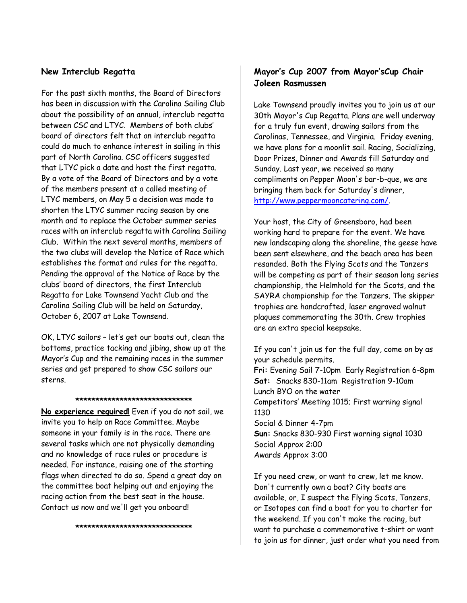#### **New Interclub Regatta**

For the past sixth months, the Board of Directors has been in discussion with the Carolina Sailing Club about the possibility of an annual, interclub regatta between CSC and LTYC. Members of both clubs' board of directors felt that an interclub regatta could do much to enhance interest in sailing in this part of North Carolina. CSC officers suggested that LTYC pick a date and host the first regatta. By a vote of the Board of Directors and by a vote of the members present at a called meeting of LTYC members, on May 5 a decision was made to shorten the LTYC summer racing season by one month and to replace the October summer series races with an interclub regatta with Carolina Sailing Club. Within the next several months, members of the two clubs will develop the Notice of Race which establishes the format and rules for the regatta. Pending the approval of the Notice of Race by the clubs' board of directors, the first Interclub Regatta for Lake Townsend Yacht Club and the Carolina Sailing Club will be held on Saturday, October 6, 2007 at Lake Townsend.

OK, LTYC sailors – let's get our boats out, clean the bottoms, practice tacking and jibing, show up at the Mayor's Cup and the remaining races in the summer series and get prepared to show CSC sailors our sterns.

#### **\*\*\*\*\*\*\*\*\*\*\*\*\*\*\*\*\*\*\*\*\*\*\*\*\*\*\*\*\***

**No experience required!** Even if you do not sail, we invite you to help on Race Committee. Maybe someone in your family is in the race. There are several tasks which are not physically demanding and no knowledge of race rules or procedure is needed. For instance, raising one of the starting flags when directed to do so. Spend a great day on the committee boat helping out and enjoying the racing action from the best seat in the house. Contact us now and we'll get you onboard!

#### **\*\*\*\*\*\*\*\*\*\*\*\*\*\*\*\*\*\*\*\*\*\*\*\*\*\*\*\*\***

## **Mayor's Cup 2007 from Mayor'sCup Chair Joleen Rasmussen**

Lake Townsend proudly invites you to join us at our 30th Mayor's Cup Regatta. Plans are well underway for a truly fun event, drawing sailors from the Carolinas, Tennessee, and Virginia. Friday evening, we have plans for a moonlit sail. Racing, Socializing, Door Prizes, Dinner and Awards fill Saturday and Sunday. Last year, we received so many compliments on Pepper Moon's bar-b-que, we are bringing them back for Saturday's dinner, http://www.peppermooncatering.com/.

Your host, the City of Greensboro, had been working hard to prepare for the event. We have new landscaping along the shoreline, the geese have been sent elsewhere, and the beach area has been resanded. Both the Flying Scots and the Tanzers will be competing as part of their season long series championship, the Helmhold for the Scots, and the SAYRA championship for the Tanzers. The skipper trophies are handcrafted, laser engraved walnut plaques commemorating the 30th. Crew trophies are an extra special keepsake.

If you can't join us for the full day, come on by as your schedule permits. **Fri:** Evening Sail 7-10pm Early Registration 6-8pm **Sat:** Snacks 830-11am Registration 9-10am Lunch BYO on the water Competitors' Meeting 1015; First warning signal 1130 Social & Dinner 4-7pm **Sun:** Snacks 830-930 First warning signal 1030 Social Approx 2:00 Awards Approx 3:00

If you need crew, or want to crew, let me know. Don't currently own a boat? City boats are available, or, I suspect the Flying Scots, Tanzers, or Isotopes can find a boat for you to charter for the weekend. If you can't make the racing, but want to purchase a commemorative t-shirt or want to join us for dinner, just order what you need from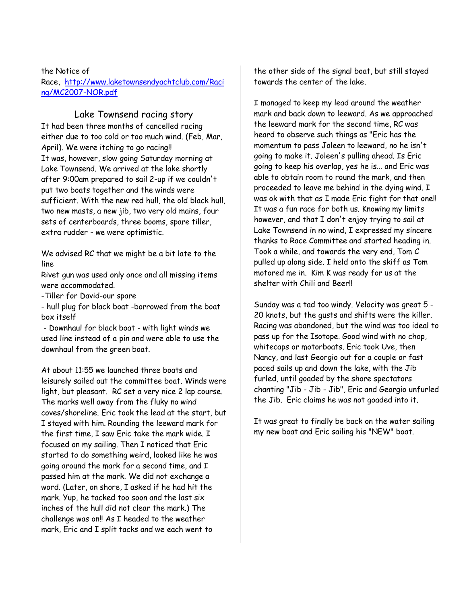the Notice of Race, http://www.laketownsendyachtclub.com/Raci ng/MC2007-NOR.pdf

Lake Townsend racing story It had been three months of cancelled racing either due to too cold or too much wind. (Feb, Mar, April). We were itching to go racing!! It was, however, slow going Saturday morning at Lake Townsend. We arrived at the lake shortly after 9:00am prepared to sail 2-up if we couldn't put two boats together and the winds were sufficient. With the new red hull, the old black hull, two new masts, a new jib, two very old mains, four sets of centerboards, three booms, spare tiller, extra rudder - we were optimistic.

We advised RC that we might be a bit late to the line

Rivet gun was used only once and all missing items were accommodated.

-Tiller for David-our spare

- hull plug for black boat -borrowed from the boat box itself

- Downhaul for black boat - with light winds we used line instead of a pin and were able to use the downhaul from the green boat.

At about 11:55 we launched three boats and leisurely sailed out the committee boat. Winds were light, but pleasant. RC set a very nice 2 lap course. The marks well away from the fluky no wind coves/shoreline. Eric took the lead at the start, but I stayed with him. Rounding the leeward mark for the first time, I saw Eric take the mark wide. I focused on my sailing. Then I noticed that Eric started to do something weird, looked like he was going around the mark for a second time, and I passed him at the mark. We did not exchange a word. (Later, on shore, I asked if he had hit the mark. Yup, he tacked too soon and the last six inches of the hull did not clear the mark.) The challenge was on!! As I headed to the weather mark, Eric and I split tacks and we each went to

the other side of the signal boat, but still stayed towards the center of the lake.

I managed to keep my lead around the weather mark and back down to leeward. As we approached the leeward mark for the second time, RC was heard to observe such things as "Eric has the momentum to pass Joleen to leeward, no he isn't going to make it. Joleen's pulling ahead. Is Eric going to keep his overlap, yes he is... and Eric was able to obtain room to round the mark, and then proceeded to leave me behind in the dying wind. I was ok with that as I made Eric fight for that one!! It was a fun race for both us. Knowing my limits however, and that I don't enjoy trying to sail at Lake Townsend in no wind, I expressed my sincere thanks to Race Committee and started heading in. Took a while, and towards the very end, Tom C pulled up along side. I held onto the skiff as Tom motored me in. Kim K was ready for us at the shelter with Chili and Beer!!

Sunday was a tad too windy. Velocity was great 5 - 20 knots, but the gusts and shifts were the killer. Racing was abandoned, but the wind was too ideal to pass up for the Isotope. Good wind with no chop, whitecaps or motorboats. Eric took Uve, then Nancy, and last Georgio out for a couple or fast paced sails up and down the lake, with the Jib furled, until goaded by the shore spectators chanting "Jib - Jib - Jib", Eric and Georgio unfurled the Jib. Eric claims he was not goaded into it.

It was great to finally be back on the water sailing my new boat and Eric sailing his "NEW" boat.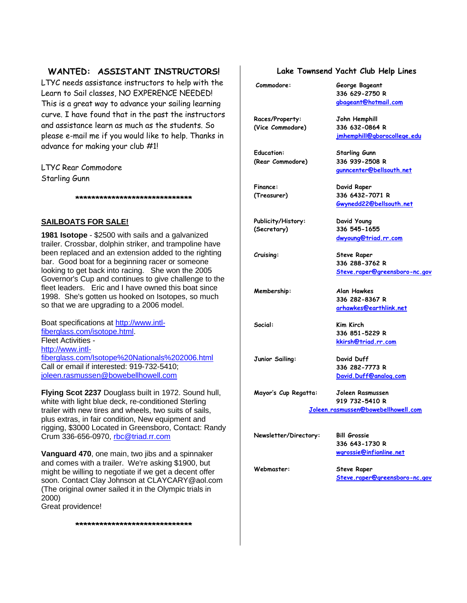### **WANTED: ASSISTANT INSTRUCTORS!**

LTYC needs assistance instructors to help with the Learn to Sail classes, NO EXPERENCE NEEDED! This is a great way to advance your sailing learning curve. I have found that in the past the instructors and assistance learn as much as the students. So please e-mail me if you would like to help. Thanks in advance for making your club #1!

LTYC Rear Commodore Starling Gunn

**SAILBOATS FOR SALE!**

**1981 Isotope** - \$2500 with sails and a galvanized trailer. Crossbar, dolphin striker, and trampoline have been replaced and an extension added to the righting bar. Good boat for a beginning racer or someone looking to get back into racing. She won the 2005 Governor's Cup and continues to give challenge to the fleet leaders. Eric and I have owned this boat since 1998. She's gotten us hooked on Isotopes, so much so that we are upgrading to a 2006 model.

**\*\*\*\*\*\*\*\*\*\*\*\*\*\*\*\*\*\*\*\*\*\*\*\*\*\*\*\*\***

Boat specifications at http://www.intlfiberglass.com/isotope.html. Fleet Activities http://www.intlfiberglass.com/Isotope%20Nationals%202006.html Call or email if interested: 919-732-5410; joleen.rasmussen@bowebellhowell.com

**Flying Scot 2237** Douglass built in 1972. Sound hull, white with light blue deck, re-conditioned Sterling trailer with new tires and wheels, two suits of sails, plus extras, in fair condition, New equipment and rigging, \$3000 Located in Greensboro, Contact: Randy Crum 336-656-0970, rbc@triad.rr.com

**Vanguard 470**, one main, two jibs and a spinnaker and comes with a trailer. We're asking \$1900, but might be willing to negotiate if we get a decent offer soon. Contact Clay Johnson at CLAYCARY@aol.com (The original owner sailed it in the Olympic trials in 2000)

**\*\*\*\*\*\*\*\*\*\*\*\*\*\*\*\*\*\*\*\*\*\*\*\*\*\*\*\*\***

Great providence!

#### **Lake Townsend Yacht Club Help Lines**

**336 629-2750 R gbageant@hotmail.com**

**jmhemphill@gborocollege.edu**

**gunncenter@bellsouth.net**

**Gwynedd22@bellsouth.net**

**dwyoung@triad.rr.com**

**Steve.raper@greensboro-nc.gov**

**336 288-3762 R**

**336 282-8367 R arhawkes@earthlink.net**

**336 851-5229 R kkirsh@triad.rr.com**

**Commodore: George Bageant**

**Races/Property: John Hemphill (Vice Commodore) 336 632-0864 R**

**Education: Starling Gunn (Rear Commodore) 336 939-2508 R**

**Finance: David Raper (Treasurer) 336 6432-7071 R**

**Publicity/History: David Young (Secretary) 336 545-1655**

**Cruising: Steve Raper**

**Membership: Alan Hawkes**

**Social: Kim Kirch**

**Junior Sailing: David Duff**

**336 282-7773 R David.Duff@analog.com**

**Mayor's Cup Regatta: Joleen Rasmussen 919 732-5410 R Joleen.rasmussen@bowebellhowell.com**

**Newsletter/Directory: Bill Grossie**

**336 643-1730 R wgrossie@infionline.net**

**Webmaster: Steve Raper Steve.raper@greensboro-nc.gov**